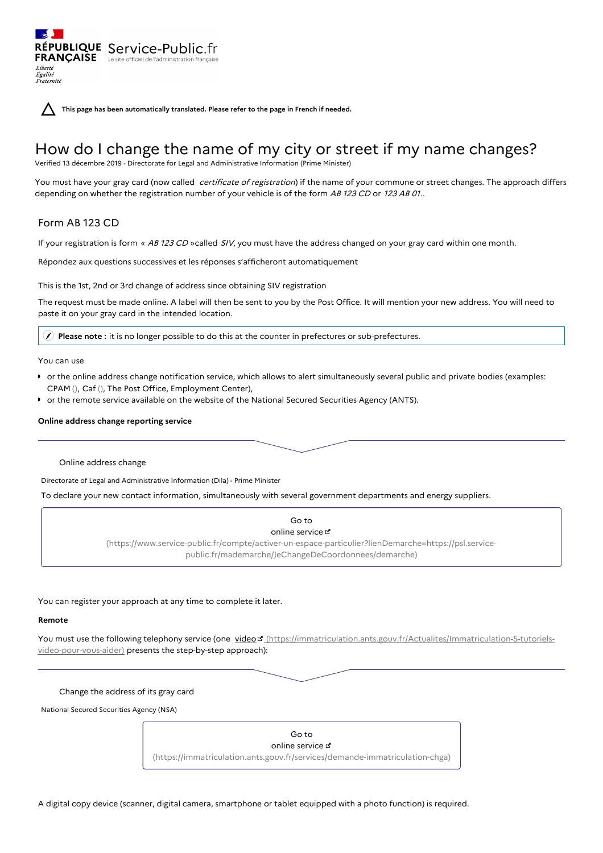**This page has been automatically translated. Please refer to the page in French if needed.**

# How do I change the name of my city or street if my name changes?

Verified 13 décembre 2019 - Directorate for Legal and Administrative Information (Prime Minister)

You must have your gray card (now called *certificate of registration*) if the name of your commune or street changes. The approach differs depending on whether the registration number of your vehicle is of the form AB 123 CD or 123 AB 01..

## Form AB 123 CD

Liberté Égalité<br>Fraternité

RÉPUBLIQUE Service-Public.fr **FRANÇAISE** Le site officiel de l'administration

If your registration is form « AB 123 CD »called SIV, you must have the address changed on your gray card within one month.

Répondez aux questions successives et les réponses s'afficheront automatiquement

This is the 1st, 2nd or 3rd change of address since obtaining SIV registration

The request must be made online. A label will then be sent to you by the Post Office. It will mention your new address. You will need to paste it on your gray card in the intended location.

**Please note :** it is no longer possible to do this at the counter in prefectures or sub-prefectures.

You can use

- or the online address change notification service, which allows to alert simultaneously several public and private bodies (examples: CPAM (), Caf (), The Post Office, Employment Center),
- or the remote service available on the website of the National Secured Securities Agency (ANTS).

## **Online address change reporting service**

Online address change

Directorate of Legal and Administrative Information (Dila) - Prime Minister

To declare your new contact information, simultaneously with several government departments and energy suppliers.



You can register your approach at any time to complete it later.

## **Remote**

You must use the following telephony service (one video r [\(https://immatriculation.ants.gouv.fr/Actualites/Immatriculation-5-tutoriels](https://immatriculation.ants.gouv.fr/Actualites/Immatriculation-5-tutoriels-video-pour-vous-aider)video-pour-vous-aider) presents the step-by-step approach):

Change the address of its gray card

National Secured Securities Agency (NSA)



A digital copy device (scanner, digital camera, smartphone or tablet equipped with a photo function) is required.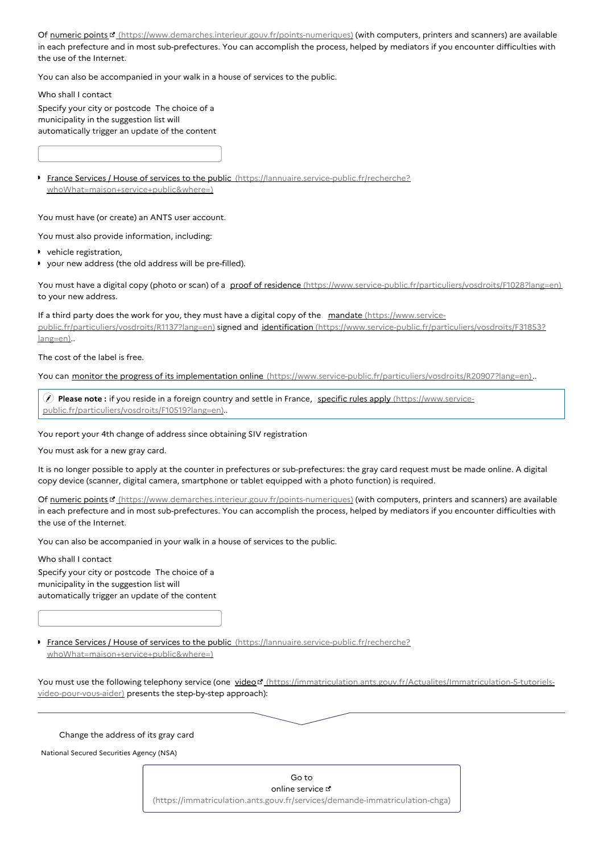Of numeric points <sup>r</sup> [\(https://www.demarches.interieur.gouv.fr/points-numeriques\)](https://www.demarches.interieur.gouv.fr/points-numeriques) (with computers, printers and scanners) are available in each prefecture and in most sub-prefectures. You can accomplish the process, helped by mediators if you encounter difficulties with the use of the Internet.

You can also be accompanied in your walk in a house of services to the public.

Who shall I contact

Specify your city or postcode The choice of a municipality in the suggestion list will automatically trigger an update of the content

**France Services / House of services to the public [\(https://lannuaire.service-public.fr/recherche?](https://lannuaire.service-public.fr/recherche?whoWhat=maison+service+public&where=)** whoWhat=maison+service+public&where=)

You must have (or create) an ANTS user account.

You must also provide information, including:

- vehicle registration,
- your new address (the old address will be pre-filled).

You must have a digital copy (photo or scan) of a proof of residence [\(https://www.service-public.fr/particuliers/vosdroits/F1028?lang=en\)](https://www.service-public.fr/particuliers/vosdroits/F1028?lang=en) to your new address.

If a third party does the work for you, they must have a digital copy of the mandate (https://www.service[public.fr/particuliers/vosdroits/R1137?lang=en\)](https://www.service-public.fr/particuliers/vosdroits/R1137?lang=en) signed and identification [\(https://www.service-public.fr/particuliers/vosdroits/F31853?](https://www.service-public.fr/particuliers/vosdroits/F31853?lang=en) lang=en)..

The cost of the label is free.

You can monitor the progress of its implementation online [\(https://www.service-public.fr/particuliers/vosdroits/R20907?lang=en\)](https://www.service-public.fr/particuliers/vosdroits/R20907?lang=en)..

 **Please note :** if you reside in a foreign country and settle in France, specific rules apply (https://www.service[public.fr/particuliers/vosdroits/F10519?lang=en\)..](https://www.service-public.fr/particuliers/vosdroits/F10519?lang=en)

You report your 4th change of address since obtaining SIV registration

You must ask for a new gray card.

It is no longer possible to apply at the counter in prefectures or sub-prefectures: the gray card request must be made online. A digital copy device (scanner, digital camera, smartphone or tablet equipped with a photo function) is required.

Of numeric points [3] [\(https://www.demarches.interieur.gouv.fr/points-numeriques\)](https://www.demarches.interieur.gouv.fr/points-numeriques) (with computers, printers and scanners) are available in each prefecture and in most sub-prefectures. You can accomplish the process, helped by mediators if you encounter difficulties with the use of the Internet.

You can also be accompanied in your walk in a house of services to the public.

Who shall I contact

Specify your city or postcode The choice of a municipality in the suggestion list will automatically trigger an update of the content

**France Services / House of services to the public [\(https://lannuaire.service-public.fr/recherche?](https://lannuaire.service-public.fr/recherche?whoWhat=maison+service+public&where=)** whoWhat=maison+service+public&where=)

You must use the following telephony service (one video " [\(https://immatriculation.ants.gouv.fr/Actualites/Immatriculation-5-tutoriels](https://immatriculation.ants.gouv.fr/Actualites/Immatriculation-5-tutoriels-video-pour-vous-aider)video-pour-vous-aider) presents the step-by-step approach):

#### Change the address of its gray card

National Secured Securities Agency (NSA)

Go to online service  $\mathfrak a$ [\(https://immatriculation.ants.gouv.fr/services/demande-immatriculation-chga\)](https://immatriculation.ants.gouv.fr/services/demande-immatriculation-chga)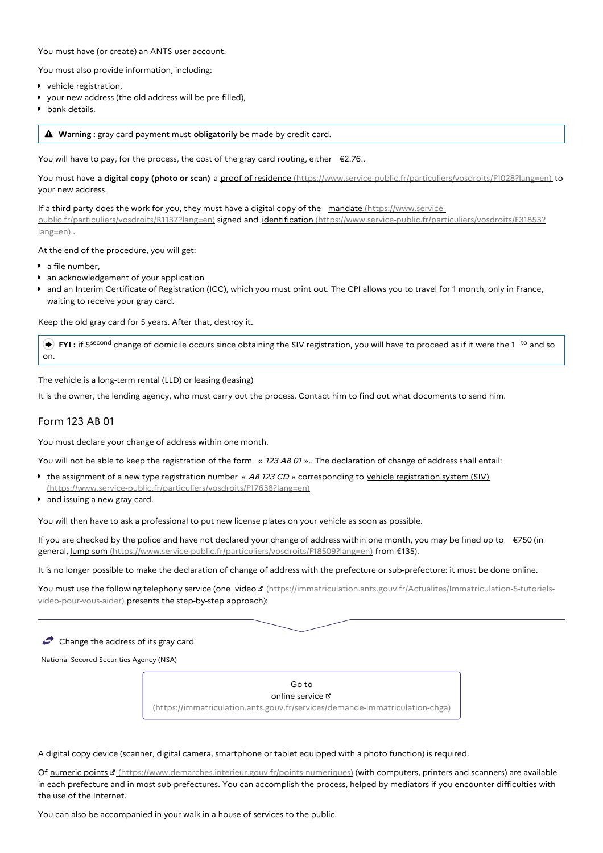You must have (or create) an ANTS user account.

You must also provide information, including:

- vehicle registration,
- your new address (the old address will be pre-filled),
- **b** bank details.

**Warning :** gray card payment must **obligatorily** be made by credit card.

You will have to pay, for the process, the cost of the gray card routing, either  $\epsilon$ 2.76..

You must have **a digital copy (photo or scan)** a proof of residence [\(https://www.service-public.fr/particuliers/vosdroits/F1028?lang=en\)](https://www.service-public.fr/particuliers/vosdroits/F1028?lang=en) to your new address.

If a third party does the work for you, they must have a digital copy of the mandate (https://www.service[public.fr/particuliers/vosdroits/R1137?lang=en\)](https://www.service-public.fr/particuliers/vosdroits/R1137?lang=en) signed and identification [\(https://www.service-public.fr/particuliers/vosdroits/F31853?](https://www.service-public.fr/particuliers/vosdroits/F31853?lang=en) lang=en)..

At the end of the procedure, you will get:

- **a** file number.
- an acknowledgement of your application
- and an Interim Certificate of Registration (ICC), which you must print out. The CPI allows you to travel for 1 month, only in France, waiting to receive your gray card.

Keep the old gray card for 5 years. After that, destroy it.

**▶ FYI** : if 5<sup>second</sup> change of domicile occurs since obtaining the SIV registration, you will have to proceed as if it were the 1<sup>to</sup> and so on.

The vehicle is a long-term rental (LLD) or leasing (leasing)

It is the owner, the lending agency, who must carry out the process. Contact him to find out what documents to send him.

## Form 123 AB 01

You must declare your change of address within one month.

You will not be able to keep the registration of the form « 123 AB 01 ».. The declaration of change of address shall entail:

- the assignment of a new type registration number « AB 123 CD » corresponding to vehicle registration system (SIV) [\(https://www.service-public.fr/particuliers/vosdroits/F17638?lang=en\)](https://www.service-public.fr/particuliers/vosdroits/F17638?lang=en)
- **and issuing a new gray card.**

You will then have to ask a professional to put new license plates on your vehicle as soon as possible.

If you are checked by the police and have not declared your change of address within one month, you may be fined up to €750 (in general, <u>lump sum (https://www.service-public.fr/particuliers/vosdroits/F18509?lang=en</u>) from €135).

It is no longer possible to make the declaration of change of address with the prefecture or sub-prefecture: it must be done online.

You must use the following telephony service (one video d' [\(https://immatriculation.ants.gouv.fr/Actualites/Immatriculation-5-tutoriels](https://immatriculation.ants.gouv.fr/Actualites/Immatriculation-5-tutoriels-video-pour-vous-aider)video-pour-vous-aider) presents the step-by-step approach):

 $\blacktriangleright$  Change the address of its gray card

National Secured Securities Agency (NSA)

Go to online service  $\leq$ [\(https://immatriculation.ants.gouv.fr/services/demande-immatriculation-chga\)](https://immatriculation.ants.gouv.fr/services/demande-immatriculation-chga)

A digital copy device (scanner, digital camera, smartphone or tablet equipped with a photo function) is required.

Of numeric points [cttps://www.demarches.interieur.gouv.fr/points-numeriques) (with computers, printers and scanners) are available in each prefecture and in most sub-prefectures. You can accomplish the process, helped by mediators if you encounter difficulties with the use of the Internet.

You can also be accompanied in your walk in a house of services to the public.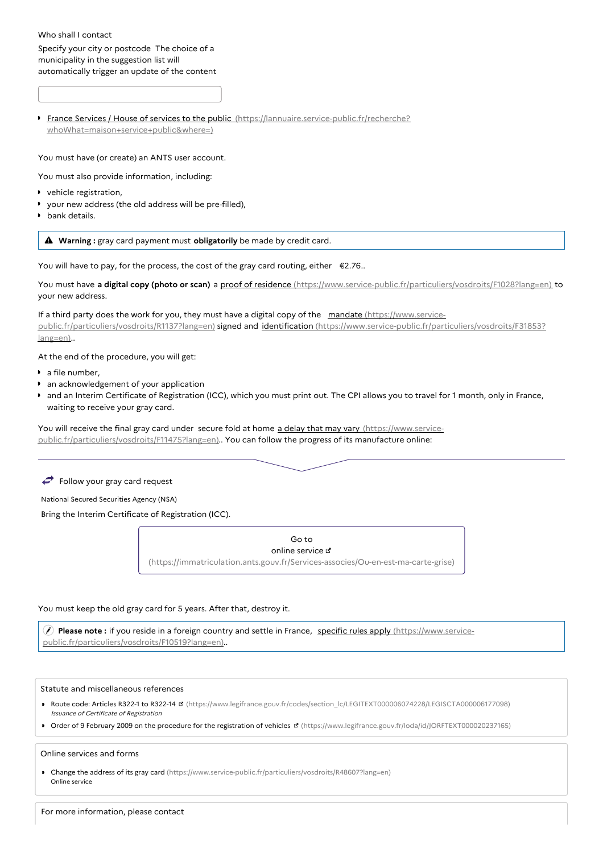## Who shall I contact Specify your city or postcode The choice of a municipality in the suggestion list will automatically trigger an update of the content

**France Services / House of services to the public [\(https://lannuaire.service-public.fr/recherche?](https://lannuaire.service-public.fr/recherche?whoWhat=maison+service+public&where=)** whoWhat=maison+service+public&where=)

You must have (or create) an ANTS user account.

- You must also provide information, including:
- vehicle registration,
- your new address (the old address will be pre-filled),
- **bank** details.

**Warning :** gray card payment must **obligatorily** be made by credit card.

You will have to pay, for the process, the cost of the gray card routing, either  $\epsilon$ 2.76..

You must have **a digital copy (photo or scan)** a proof of residence [\(https://www.service-public.fr/particuliers/vosdroits/F1028?lang=en\)](https://www.service-public.fr/particuliers/vosdroits/F1028?lang=en) to your new address.

If a third party does the work for you, they must have a digital copy of the mandate (https://www.service[public.fr/particuliers/vosdroits/R1137?lang=en\)](https://www.service-public.fr/particuliers/vosdroits/R1137?lang=en) signed and identification [\(https://www.service-public.fr/particuliers/vosdroits/F31853?](https://www.service-public.fr/particuliers/vosdroits/F31853?lang=en) lang=en)..

At the end of the procedure, you will get:

- a file number,
- **an acknowledgement of your application**
- and an Interim Certificate of Registration (ICC), which you must print out. The CPI allows you to travel for 1 month, only in France, waiting to receive your gray card.

You will receive the final gray card under secure fold at home a delay that may vary (https://www.service[public.fr/particuliers/vosdroits/F11475?lang=en\)..](https://www.service-public.fr/particuliers/vosdroits/F11475?lang=en) You can follow the progress of its manufacture online:

#### $\iff$  Follow your gray card request

National Secured Securities Agency (NSA)

Bring the Interim Certificate of Registration (ICC).

Go to online service  $\mathfrak a$ [\(https://immatriculation.ants.gouv.fr/Services-associes/Ou-en-est-ma-carte-grise\)](https://immatriculation.ants.gouv.fr/Services-associes/Ou-en-est-ma-carte-grise)

#### You must keep the old gray card for 5 years. After that, destroy it.

 **Please note :** if you reside in a foreign country and settle in France, specific rules apply (https://www.service[public.fr/particuliers/vosdroits/F10519?lang=en\)..](https://www.service-public.fr/particuliers/vosdroits/F10519?lang=en)

#### Statute and miscellaneous references

- ▶ Route code: Articles R322-1 to R322-14 **B** [\(https://www.legifrance.gouv.fr/codes/section\\_lc/LEGITEXT000006074228/LEGISCTA000006177098\)](https://www.legifrance.gouv.fr/codes/section_lc/LEGITEXT000006074228/LEGISCTA000006177098) Issuance of Certificate of Registration
- Order of 9 February 2009 on the procedure for the registration of vehicles ¤ [\(https://www.legifrance.gouv.fr/loda/id/JORFTEXT000020237165\)](https://www.legifrance.gouv.fr/loda/id/JORFTEXT000020237165)

#### Online services and forms

Change the address of its gray card [\(https://www.service-public.fr/particuliers/vosdroits/R48607?lang=en\)](https://www.service-public.fr/particuliers/vosdroits/R48607?lang=en) Online service